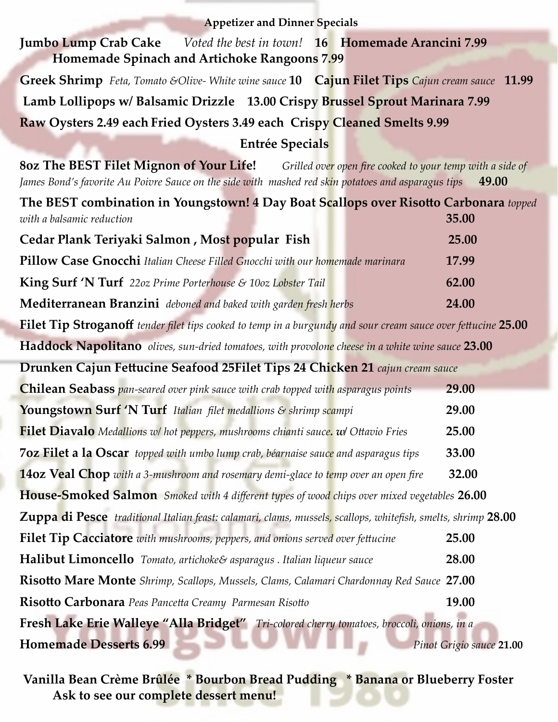| <b>Appetizer and Dinner Specials</b>                                                                                                                                                                                    |       |
|-------------------------------------------------------------------------------------------------------------------------------------------------------------------------------------------------------------------------|-------|
| <b>Jumbo Lump Crab Cake</b> <i>Voted the best in town!</i> 16 <b>Homemade Arancini</b> 7.99<br>Homemade Spinach and Artichoke Rangoons 7.99                                                                             |       |
| Greek Shrimp Feta, Tomato &Olive-White wine sauce 10 Cajun Filet Tips Cajun cream sauce 11.99                                                                                                                           |       |
| Lamb Lollipops w/ Balsamic Drizzle 13.00 Crispy Brussel Sprout Marinara 7.99                                                                                                                                            |       |
| Raw Oysters 2.49 each Fried Oysters 3.49 each Crispy Cleaned Smelts 9.99                                                                                                                                                |       |
| <b>Entrée Specials</b>                                                                                                                                                                                                  |       |
| <b>80z The BEST Filet Mignon of Your Life!</b> Grilled over open fire cooked to your temp with a side of<br>James Bond's favorite Au Poivre Sauce on the side with mashed red skin potatoes and asparagus tips<br>49.00 |       |
| The BEST combination in Youngstown! 4 Day Boat Scallops over Risotto Carbonara topped<br>with a balsamic reduction                                                                                                      | 35.00 |
| Cedar Plank Teriyaki Salmon, Most popular Fish                                                                                                                                                                          | 25.00 |
| Pillow Case Gnocchi Italian Cheese Filled Gnocchi with our homemade marinara                                                                                                                                            | 17.99 |
| King Surf 'N Turf 22oz Prime Porterhouse & 10oz Lobster Tail                                                                                                                                                            | 62.00 |
| Mediterranean Branzini deboned and baked with garden fresh herbs                                                                                                                                                        | 24.00 |
| Filet Tip Stroganoff tender filet tips cooked to temp in a burgundy and sour cream sauce over fettucine 25.00                                                                                                           |       |
| Haddock Napolitano olives, sun-dried tomatoes, with provolone cheese in a white wine sauce 23.00                                                                                                                        |       |
| Drunken Cajun Fettucine Seafood 25Filet Tips 24 Chicken 21 cajun cream sauce                                                                                                                                            |       |
| <b>Chilean Seabass</b> pan-seared over pink sauce with crab topped with asparagus points                                                                                                                                | 29.00 |
| Youngstown Surf 'N Turf Italian filet medallions & shrimp scampi                                                                                                                                                        | 29.00 |
| <b>Filet Diavalo</b> Medallions w/ hot peppers, mushrooms chianti sauce. w/ Ottavio Fries                                                                                                                               | 25.00 |
| 7oz Filet a la Oscar topped with umbo lump crab, béarnaise sauce and asparagus tips                                                                                                                                     | 33.00 |
| <b>14oz Veal Chop</b> with a 3-mushroom and rosemary demi-glace to temp over an open fire                                                                                                                               | 32.00 |
| <b>House-Smoked Salmon</b> Smoked with 4 different types of wood chips over mixed vegetables 26.00                                                                                                                      |       |
| Zuppa di Pesce traditional Italian feast: calamari, clams, mussels, scallops, whitefish, smelts, shrimp 28.00                                                                                                           |       |
| Filet Tip Cacciatore with mushrooms, peppers, and onions served over fettucine                                                                                                                                          | 25.00 |
| <b>Halibut Limoncello</b> Tomato, artichoke& asparagus . Italian liqueur sauce                                                                                                                                          | 28.00 |
| Risotto Mare Monte Shrimp, Scallops, Mussels, Clams, Calamari Chardonnay Red Sauce 27.00                                                                                                                                |       |
| Risotto Carbonara Peas Pancetta Creamy Parmesan Risotto                                                                                                                                                                 | 19.00 |
| Fresh Lake Erie Walleye "Alla Bridget" Tri-colored cherry tomatoes, broccoli, onions, in a                                                                                                                              |       |
| <b>Homemade Desserts 6.99</b><br>Pinot Grigio sauce 21.00                                                                                                                                                               |       |
|                                                                                                                                                                                                                         |       |

- 1

**Vanilla Bean Crème Brûlée \* Bourbon Bread Pudding \* Banana or Blueberry Foster Ask to see our complete dessert menu!**